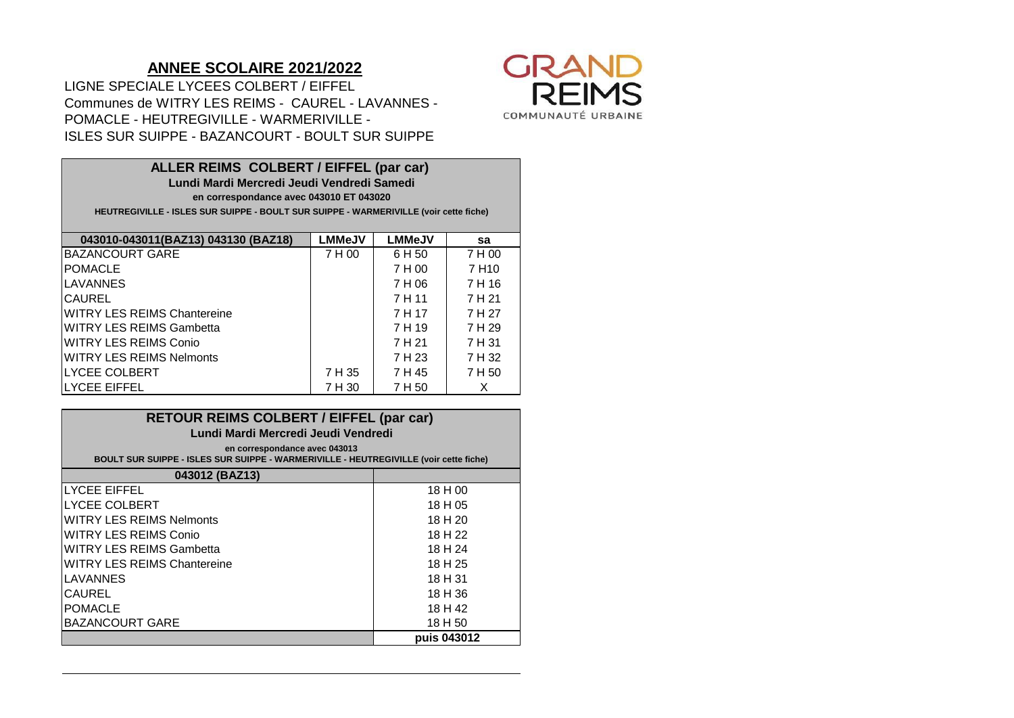## **ANNEE SCOLAIRE 2021/2022**

POMACLE - HEUTREGIVILLE - WARMERIVILLE - LIGNE SPECIALE LYCEES COLBERT / EIFFEL Communes de WITRY LES REIMS - CAUREL - LAVANNES - ISLES SUR SUIPPE - BAZANCOURT - BOULT SUR SUIPPE



**LMMeJV LMMeJV sa** BAZANCOURT GARE  $\vert$  7 H 00  $\vert$  6 H 50  $\vert$  7 H 00 POMACLE 7 H 00 7 H10 LAVANNES 7 H 06 7 H 16 CAUREL 7 H 11 7 H 21 WITRY LES REIMS Chantereine The Million Changes of the Million Theory of the Theory of The Theory of The Theory WITRY LES REIMS Gambetta **1** 1 H 19 7 H 29 WITRY LES REIMS Conio 7 H 21 7 H 31 WITRY LES REIMS Nelmonts 7 H 23 7 H 32 | 2 H 35 | 2 H 45 | 2 H 36 | 2 H 45 | 2 H 50 | 2 H 50 | 2 H 50 | 2 H 50 | 2 H 50 | 2 H 50 | 2 H 50 | 2 H 50 | |LYCEE EIFFEL | 7H 30 | 7H 50 | X **043010-043011(BAZ13) 043130 (BAZ18) ALLER REIMS COLBERT / EIFFEL (par car) Lundi Mardi Mercredi Jeudi Vendredi Samedi en correspondance avec 043010 ET 043020 HEUTREGIVILLE - ISLES SUR SUIPPE - BOULT SUR SUIPPE - WARMERIVILLE (voir cette fiche)**

| <b>RETOUR REIMS COLBERT / EIFFEL (par car)</b><br>Lundi Mardi Mercredi Jeudi Vendredi<br>en correspondance avec 043013<br>BOULT SUR SUIPPE - ISLES SUR SUIPPE - WARMERIVILLE - HEUTREGIVILLE (voir cette fiche) |             |  |  |
|-----------------------------------------------------------------------------------------------------------------------------------------------------------------------------------------------------------------|-------------|--|--|
| 043012 (BAZ13)                                                                                                                                                                                                  |             |  |  |
| <b>LYCEE EIFFEL</b>                                                                                                                                                                                             | 18 H 00     |  |  |
| <b>LYCEE COLBERT</b>                                                                                                                                                                                            | 18 H 05     |  |  |
| <b>WITRY LES REIMS Nelmonts</b>                                                                                                                                                                                 | 18 H 20     |  |  |
| <b>WITRY LES REIMS Conio</b>                                                                                                                                                                                    | 18 H 22     |  |  |
| <b>WITRY LES REIMS Gambetta</b>                                                                                                                                                                                 | 18 H 24     |  |  |
| <b>WITRY LES REIMS Chantereine</b>                                                                                                                                                                              | 18 H 25     |  |  |
| <b>LAVANNES</b>                                                                                                                                                                                                 | 18 H 31     |  |  |
| <b>CAUREL</b>                                                                                                                                                                                                   | 18 H 36     |  |  |
| <b>POMACLE</b>                                                                                                                                                                                                  | 18 H 42     |  |  |
| <b>BAZANCOURT GARE</b>                                                                                                                                                                                          | 18 H 50     |  |  |
|                                                                                                                                                                                                                 | puis 043012 |  |  |